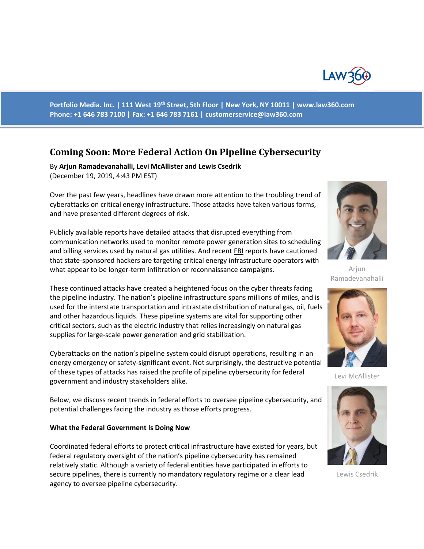

**Portfolio Media. Inc. | 111 West 19th Street, 5th Floor | New York, NY 10011 | www.law360.com Phone: +1 646 783 7100 | Fax: +1 646 783 7161 | [customerservice@law360.com](mailto:customerservice@law360.com)**

# **Coming Soon: More Federal Action On Pipeline Cybersecurity**

By **Arjun Ramadevanahalli, Levi McAllister and Lewis Csedrik** (December 19, 2019, 4:43 PM EST)

Over the past few years, headlines have drawn more attention to the troubling trend of cyberattacks on critical energy infrastructure. Those attacks have taken various forms, and have presented different degrees of risk.

Publicly available reports have detailed attacks that disrupted everything from communication networks used to monitor remote power generation sites to scheduling and billing services used by natural gas utilities. And recent FBI reports have cautioned that state-sponsored hackers are targeting critical energy infrastructure operators with what appear to be longer-term infiltration or reconnaissance campaigns.

These continued attacks have created a heightened focus on the cyber threats facing the pipeline industry. The nation's pipeline infrastructure spans millions of miles, and is used for the interstate transportation and intrastate distribution of natural gas, oil, fuels and other hazardous liquids. These pipeline systems are vital for supporting other critical sectors, such as the electric industry that relies increasingly on natural gas supplies for large-scale power generation and grid stabilization.

Cyberattacks on the nation's pipeline system could disrupt operations, resulting in an energy emergency or safety-significant event. Not surprisingly, the destructive potential of these types of attacks has raised the profile of pipeline cybersecurity for federal government and industry stakeholders alike.

Below, we discuss recent trends in federal efforts to oversee pipeline cybersecurity, and potential challenges facing the industry as those efforts progress.

#### **What the Federal Government Is Doing Now**

Coordinated federal efforts to protect critical infrastructure have existed for years, but federal regulatory oversight of the nation's pipeline cybersecurity has remained relatively static. Although a variety of federal entities have participated in efforts to secure pipelines, there is currently no mandatory regulatory regime or a clear lead agency to oversee pipeline cybersecurity.



Arjun Ramadevanahalli



Levi McAllister



Lewis Csedrik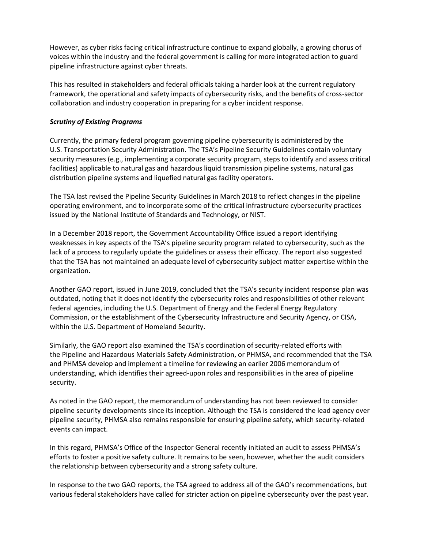However, as cyber risks facing critical infrastructure continue to expand globally, a growing chorus of voices within the industry and the federal government is calling for more integrated action to guard pipeline infrastructure against cyber threats.

This has resulted in stakeholders and federal officials taking a harder look at the current regulatory framework, the operational and safety impacts of cybersecurity risks, and the benefits of cross-sector collaboration and industry cooperation in preparing for a cyber incident response.

#### *Scrutiny of Existing Programs*

Currently, the primary federal program governing pipeline cybersecurity is administered by the U.S. Transportation Security Administration. The TSA's Pipeline Security Guidelines contain voluntary security measures (e.g., implementing a corporate security program, steps to identify and assess critical facilities) applicable to natural gas and hazardous liquid transmission pipeline systems, natural gas distribution pipeline systems and liquefied natural gas facility operators.

The TSA last revised the Pipeline Security Guidelines in March 2018 to reflect changes in the pipeline operating environment, and to incorporate some of the critical infrastructure cybersecurity practices issued by the National Institute of Standards and Technology, or NIST.

In a December 2018 report, the Government Accountability Office issued a report identifying weaknesses in key aspects of the TSA's pipeline security program related to cybersecurity, such as the lack of a process to regularly update the guidelines or assess their efficacy. The report also suggested that the TSA has not maintained an adequate level of cybersecurity subject matter expertise within the organization.

Another GAO report, issued in June 2019, concluded that the TSA's security incident response plan was outdated, noting that it does not identify the cybersecurity roles and responsibilities of other relevant federal agencies, including the U.S. Department of Energy and the Federal Energy Regulatory Commission, or the establishment of the Cybersecurity Infrastructure and Security Agency, or CISA, within the U.S. Department of Homeland Security.

Similarly, the GAO report also examined the TSA's coordination of security-related efforts with the Pipeline and Hazardous Materials Safety Administration, or PHMSA, and recommended that the TSA and PHMSA develop and implement a timeline for reviewing an earlier 2006 memorandum of understanding, which identifies their agreed-upon roles and responsibilities in the area of pipeline security.

As noted in the GAO report, the memorandum of understanding has not been reviewed to consider pipeline security developments since its inception. Although the TSA is considered the lead agency over pipeline security, PHMSA also remains responsible for ensuring pipeline safety, which security-related events can impact.

In this regard, PHMSA's Office of the Inspector General recently initiated an audit to assess PHMSA's efforts to foster a positive safety culture. It remains to be seen, however, whether the audit considers the relationship between cybersecurity and a strong safety culture.

In response to the two GAO reports, the TSA agreed to address all of the GAO's recommendations, but various federal stakeholders have called for stricter action on pipeline cybersecurity over the past year.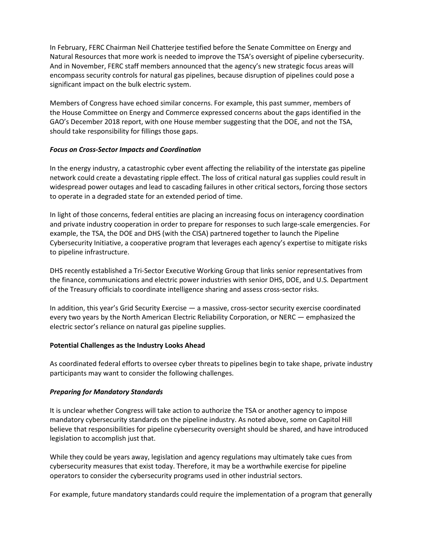In February, FERC Chairman Neil Chatterjee testified before the Senate Committee on Energy and Natural Resources that more work is needed to improve the TSA's oversight of pipeline cybersecurity. And in November, FERC staff members announced that the agency's new strategic focus areas will encompass security controls for natural gas pipelines, because disruption of pipelines could pose a significant impact on the bulk electric system.

Members of Congress have echoed similar concerns. For example, this past summer, members of the House Committee on Energy and Commerce expressed concerns about the gaps identified in the GAO's December 2018 report, with one House member suggesting that the DOE, and not the TSA, should take responsibility for fillings those gaps.

#### *Focus on Cross-Sector Impacts and Coordination*

In the energy industry, a catastrophic cyber event affecting the reliability of the interstate gas pipeline network could create a devastating ripple effect. The loss of critical natural gas supplies could result in widespread power outages and lead to cascading failures in other critical sectors, forcing those sectors to operate in a degraded state for an extended period of time.

In light of those concerns, federal entities are placing an increasing focus on interagency coordination and private industry cooperation in order to prepare for responses to such large-scale emergencies. For example, the TSA, the DOE and DHS (with the CISA) partnered together to launch the Pipeline Cybersecurity Initiative, a cooperative program that leverages each agency's expertise to mitigate risks to pipeline infrastructure.

DHS recently established a Tri-Sector Executive Working Group that links senior representatives from the finance, communications and electric power industries with senior DHS, DOE, and U.S. Department of the Treasury officials to coordinate intelligence sharing and assess cross-sector risks.

In addition, this year's Grid Security Exercise — a massive, cross-sector security exercise coordinated every two years by the North American Electric Reliability Corporation, or NERC — emphasized the electric sector's reliance on natural gas pipeline supplies.

#### **Potential Challenges as the Industry Looks Ahead**

As coordinated federal efforts to oversee cyber threats to pipelines begin to take shape, private industry participants may want to consider the following challenges.

#### *Preparing for Mandatory Standards*

It is unclear whether Congress will take action to authorize the TSA or another agency to impose mandatory cybersecurity standards on the pipeline industry. As noted above, some on Capitol Hill believe that responsibilities for pipeline cybersecurity oversight should be shared, and have introduced legislation to accomplish just that.

While they could be years away, legislation and agency regulations may ultimately take cues from cybersecurity measures that exist today. Therefore, it may be a worthwhile exercise for pipeline operators to consider the cybersecurity programs used in other industrial sectors.

For example, future mandatory standards could require the implementation of a program that generally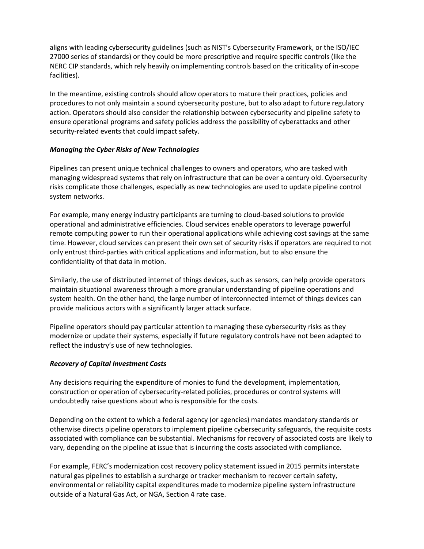aligns with leading cybersecurity guidelines (such as NIST's Cybersecurity Framework, or the ISO/IEC 27000 series of standards) or they could be more prescriptive and require specific controls (like the NERC CIP standards, which rely heavily on implementing controls based on the criticality of in-scope facilities).

In the meantime, existing controls should allow operators to mature their practices, policies and procedures to not only maintain a sound cybersecurity posture, but to also adapt to future regulatory action. Operators should also consider the relationship between cybersecurity and pipeline safety to ensure operational programs and safety policies address the possibility of cyberattacks and other security-related events that could impact safety.

### *Managing the Cyber Risks of New Technologies*

Pipelines can present unique technical challenges to owners and operators, who are tasked with managing widespread systems that rely on infrastructure that can be over a century old. Cybersecurity risks complicate those challenges, especially as new technologies are used to update pipeline control system networks.

For example, many energy industry participants are turning to cloud-based solutions to provide operational and administrative efficiencies. Cloud services enable operators to leverage powerful remote computing power to run their operational applications while achieving cost savings at the same time. However, cloud services can present their own set of security risks if operators are required to not only entrust third-parties with critical applications and information, but to also ensure the confidentiality of that data in motion.

Similarly, the use of distributed internet of things devices, such as sensors, can help provide operators maintain situational awareness through a more granular understanding of pipeline operations and system health. On the other hand, the large number of interconnected internet of things devices can provide malicious actors with a significantly larger attack surface.

Pipeline operators should pay particular attention to managing these cybersecurity risks as they modernize or update their systems, especially if future regulatory controls have not been adapted to reflect the industry's use of new technologies.

## *Recovery of Capital Investment Costs*

Any decisions requiring the expenditure of monies to fund the development, implementation, construction or operation of cybersecurity-related policies, procedures or control systems will undoubtedly raise questions about who is responsible for the costs.

Depending on the extent to which a federal agency (or agencies) mandates mandatory standards or otherwise directs pipeline operators to implement pipeline cybersecurity safeguards, the requisite costs associated with compliance can be substantial. Mechanisms for recovery of associated costs are likely to vary, depending on the pipeline at issue that is incurring the costs associated with compliance.

For example, FERC's modernization cost recovery policy statement issued in 2015 permits interstate natural gas pipelines to establish a surcharge or tracker mechanism to recover certain safety, environmental or reliability capital expenditures made to modernize pipeline system infrastructure outside of a Natural Gas Act, or NGA, Section 4 rate case.